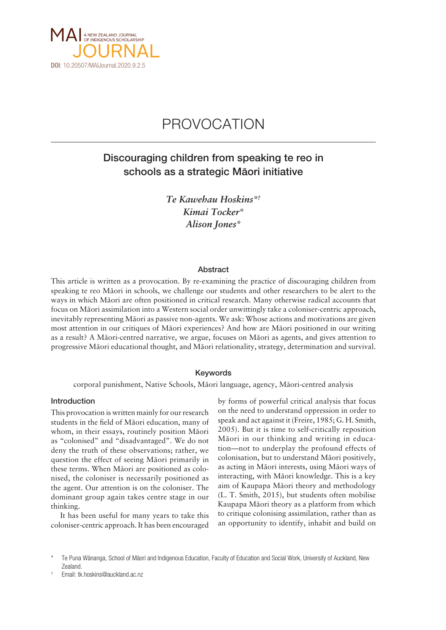

# PROVOCATION

# Discouraging children from speaking te reo in schools as a strategic Mäori initiative

*Te Kawehau Hoskins\*† Kimai Tocker\* Alison Jones\**

#### Abstract

This article is written as a provocation. By re-examining the practice of discouraging children from speaking te reo Mäori in schools, we challenge our students and other researchers to be alert to the ways in which Mäori are often positioned in critical research. Many otherwise radical accounts that focus on Mäori assimilation into a Western social order unwittingly take a coloniser-centric approach, inevitably representing Mäori as passive non-agents. We ask: Whose actions and motivations are given most attention in our critiques of Mäori experiences? And how are Mäori positioned in our writing as a result? A Mäori-centred narrative, we argue, focuses on Mäori as agents, and gives attention to progressive Mäori educational thought, and Mäori relationality, strategy, determination and survival.

# Keywords

corporal punishment, Native Schools, Mäori language, agency, Mäori-centred analysis

#### Introduction

This provocation is written mainly for our research students in the field of Mäori education, many of whom, in their essays, routinely position Mäori as "colonised" and "disadvantaged". We do not deny the truth of these observations; rather, we question the effect of seeing Mäori primarily in these terms. When Mäori are positioned as colonised, the coloniser is necessarily positioned as the agent. Our attention is on the coloniser. The dominant group again takes centre stage in our thinking.

It has been useful for many years to take this coloniser-centric approach. It has been encouraged

by forms of powerful critical analysis that focus on the need to understand oppression in order to speak and act against it (Freire, 1985; G. H. Smith, 2005). But it is time to self-critically reposition Mäori in our thinking and writing in education—not to underplay the profound effects of colonisation, but to understand Mäori positively, as acting in Mäori interests, using Mäori ways of interacting, with Mäori knowledge. This is a key aim of Kaupapa Mäori theory and methodology (L. T. Smith, 2015), but students often mobilise Kaupapa Mäori theory as a platform from which to critique colonising assimilation, rather than as an opportunity to identify, inhabit and build on

Te Puna Wänanga, School of Mäori and Indigenous Education, Faculty of Education and Social Work, University of Auckland, New Zealand.

<sup>†</sup> Email: [tk.hoskins@auckland.ac.nz](mailto:tk.hoskins@auckland.ac.nz)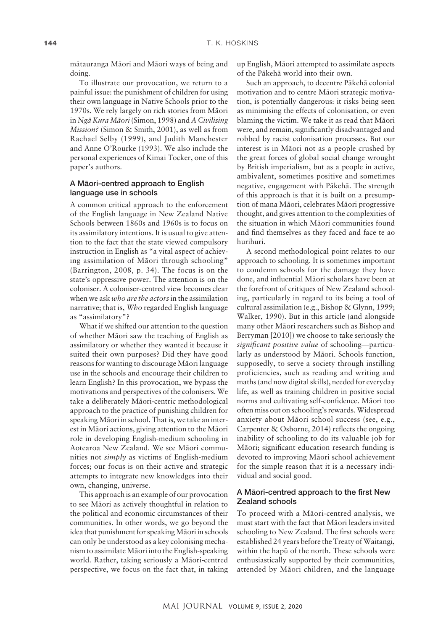mätauranga Mäori and Mäori ways of being and doing.

To illustrate our provocation, we return to a painful issue: the punishment of children for using their own language in Native Schools prior to the 1970s. We rely largely on rich stories from Mäori in *Ngä Kura Mäori* (Simon, 1998) and *A Civilising Mission?* (Simon & Smith, 2001), as well as from Rachael Selby (1999), and Judith Manchester and Anne O'Rourke (1993). We also include the personal experiences of Kimai Tocker, one of this paper's authors.

# A Mäori-centred approach to English language use in schools

A common critical approach to the enforcement of the English language in New Zealand Native Schools between 1860s and 1960s is to focus on its assimilatory intentions. It is usual to give attention to the fact that the state viewed compulsory instruction in English as "a vital aspect of achieving assimilation of Mäori through schooling" (Barrington, 2008, p. 34). The focus is on the state's oppressive power. The attention is on the coloniser. A coloniser-centred view becomes clear when we ask *who are the actors* in the assimilation narrative; that is, *Who* regarded English language as "assimilatory"?

What if we shifted our attention to the question of whether Mäori saw the teaching of English as assimilatory or whether they wanted it because it suited their own purposes? Did they have good reasons for wanting to discourage Mäori language use in the schools and encourage their children to learn English? In this provocation, we bypass the motivations and perspectives of the colonisers. We take a deliberately Mäori-centric methodological approach to the practice of punishing children for speaking Mäori in school. That is, we take an interest in Mäori actions, giving attention to the Mäori role in developing English-medium schooling in Aotearoa New Zealand. We see Mäori communities not *simply* as victims of English-medium forces; our focus is on their active and strategic attempts to integrate new knowledges into their own, changing, universe.

This approach is an example of our provocation to see Mäori as actively thoughtful in relation to the political and economic circumstances of their communities. In other words, we go beyond the idea that punishment for speaking Mäori in schools can only be understood as a key colonising mechanism to assimilate Mäori into the English-speaking world. Rather, taking seriously a Mäori-centred perspective, we focus on the fact that, in taking

up English, Mäori attempted to assimilate aspects of the Päkehä world into their own.

Such an approach, to decentre Päkehä colonial motivation and to centre Mäori strategic motivation, is potentially dangerous: it risks being seen as minimising the effects of colonisation, or even blaming the victim. We take it as read that Mäori were, and remain, significantly disadvantaged and robbed by racist colonisation processes. But our interest is in Mäori not as a people crushed by the great forces of global social change wrought by British imperialism, but as a people in active, ambivalent, sometimes positive and sometimes negative, engagement with Päkehä. The strength of this approach is that it is built on a presumption of mana Mäori, celebrates Mäori progressive thought, and gives attention to the complexities of the situation in which Mäori communities found and find themselves as they faced and face te ao hurihuri.

A second methodological point relates to our approach to schooling. It is sometimes important to condemn schools for the damage they have done, and influential Mäori scholars have been at the forefront of critiques of New Zealand schooling, particularly in regard to its being a tool of cultural assimilation (e.g., Bishop & Glynn, 1999; Walker, 1990). But in this article (and alongside many other Mäori researchers such as Bishop and Berryman [2010]) we choose to take seriously the *significant positive value* of schooling—particularly as understood by Mäori. Schools function, supposedly, to serve a society through instilling proficiencies, such as reading and writing and maths (and now digital skills), needed for everyday life, as well as training children in positive social norms and cultivating self-confidence. Mäori too often miss out on schooling's rewards. Widespread anxiety about Mäori school success (see, e.g., Carpenter & Osborne, 2014) reflects the ongoing inability of schooling to do its valuable job for Mäori; significant education research funding is devoted to improving Mäori school achievement for the simple reason that it is a necessary individual and social good.

# A Mäori-centred approach to the first New Zealand schools

To proceed with a Mäori-centred analysis, we must start with the fact that Mäori leaders invited schooling to New Zealand. The first schools were established 24 years before the Treaty of Waitangi, within the hapü of the north. These schools were enthusiastically supported by their communities, attended by Mäori children, and the language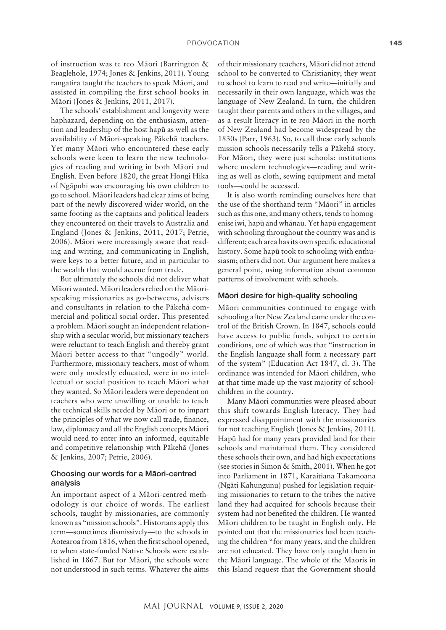of instruction was te reo Mäori (Barrington & Beaglehole, 1974; Jones & Jenkins, 2011). Young rangatira taught the teachers to speak Mäori, and assisted in compiling the first school books in Mäori (Jones & Jenkins, 2011, 2017).

The schools' establishment and longevity were haphazard, depending on the enthusiasm, attention and leadership of the host hapü as well as the availability of Mäori-speaking Päkehä teachers. Yet many Mäori who encountered these early schools were keen to learn the new technologies of reading and writing in both Mäori and English. Even before 1820, the great Hongi Hika of Ngäpuhi was encouraging his own children to go to school. Mäori leaders had clear aims of being part of the newly discovered wider world, on the same footing as the captains and political leaders they encountered on their travels to Australia and England (Jones & Jenkins, 2011, 2017; Petrie, 2006). Mäori were increasingly aware that reading and writing, and communicating in English, were keys to a better future, and in particular to the wealth that would accrue from trade.

But ultimately the schools did not deliver what Mäori wanted. Mäori leaders relied on the Mäorispeaking missionaries as go-betweens, advisers and consultants in relation to the Päkehä commercial and political social order. This presented a problem. Mäori sought an independent relationship with a secular world, but missionary teachers were reluctant to teach English and thereby grant Mäori better access to that "ungodly" world. Furthermore, missionary teachers, most of whom were only modestly educated, were in no intellectual or social position to teach Mäori what they wanted. So Mäori leaders were dependent on teachers who were unwilling or unable to teach the technical skills needed by Mäori or to impart the principles of what we now call trade, finance, law, diplomacy and all the English concepts Mäori would need to enter into an informed, equitable and competitive relationship with Päkehä (Jones & Jenkins, 2007; Petrie, 2006).

# Choosing our words for a Mäori-centred analysis

An important aspect of a Mäori-centred methodology is our choice of words. The earliest schools, taught by missionaries, are commonly known as "mission schools". Historians apply this term—sometimes dismissively—to the schools in Aotearoa from 1816, when the first school opened, to when state-funded Native Schools were established in 1867. But for Mäori, the schools were not understood in such terms. Whatever the aims

of their missionary teachers, Mäori did not attend school to be converted to Christianity; they went to school to learn to read and write—initially and necessarily in their own language, which was the language of New Zealand. In turn, the children taught their parents and others in the villages, and as a result literacy in te reo Mäori in the north of New Zealand had become widespread by the 1830s (Parr, 1963). So, to call these early schools mission schools necessarily tells a Päkehä story. For Mäori, they were just schools: institutions where modern technologies—reading and writing as well as cloth, sewing equipment and metal tools—could be accessed.

It is also worth reminding ourselves here that the use of the shorthand term "Mäori" in articles such as this one, and many others, tends to homogenise iwi, hapü and whänau. Yet hapü engagement with schooling throughout the country was and is different; each area has its own specific educational history. Some hapü took to schooling with enthusiasm; others did not. Our argument here makes a general point, using information about common patterns of involvement with schools.

#### Mäori desire for high-quality schooling

Mäori communities continued to engage with schooling after New Zealand came under the control of the British Crown. In 1847, schools could have access to public funds, subject to certain conditions, one of which was that "instruction in the English language shall form a necessary part of the system" (Education Act 1847, cl. 3). The ordinance was intended for Mäori children, who at that time made up the vast majority of schoolchildren in the country.

Many Mäori communities were pleased about this shift towards English literacy. They had expressed disappointment with the missionaries for not teaching English (Jones & Jenkins, 2011). Hapü had for many years provided land for their schools and maintained them. They considered these schools their own, and had high expectations (see stories in Simon & Smith, 2001). When he got into Parliament in 1871, Karaitiana Takamoana (Ngäti Kahungunu) pushed for legislation requiring missionaries to return to the tribes the native land they had acquired for schools because their system had not benefited the children. He wanted Mäori children to be taught in English only. He pointed out that the missionaries had been teaching the children "for many years, and the children are not educated. They have only taught them in the Mäori language. The whole of the Maoris in this Island request that the Government should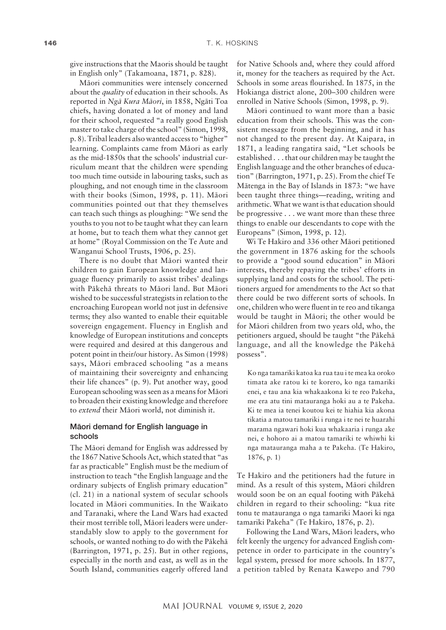give instructions that the Maoris should be taught in English only" (Takamoana, 1871, p. 828).

Mäori communities were intensely concerned about the *quality* of education in their schools. As reported in *Ngä Kura Mäori*, in 1858, Ngäti Toa chiefs, having donated a lot of money and land for their school, requested "a really good English master to take charge of the school" (Simon, 1998, p. 8). Tribal leaders also wanted access to "higher" learning. Complaints came from Mäori as early as the mid-1850s that the schools' industrial curriculum meant that the children were spending too much time outside in labouring tasks, such as ploughing, and not enough time in the classroom with their books (Simon, 1998, p. 11). Mäori communities pointed out that they themselves can teach such things as ploughing: "We send the youths to you not to be taught what they can learn at home, but to teach them what they cannot get at home" (Royal Commission on the Te Aute and Wanganui School Trusts, 1906, p. 25).

There is no doubt that Mäori wanted their children to gain European knowledge and language fluency primarily to assist tribes' dealings with Päkehä threats to Mäori land. But Mäori wished to be successful strategists in relation to the encroaching European world not just in defensive terms; they also wanted to enable their equitable sovereign engagement. Fluency in English and knowledge of European institutions and concepts were required and desired at this dangerous and potent point in their/our history. As Simon (1998) says, Mäori embraced schooling "as a means of maintaining their sovereignty and enhancing their life chances" (p. 9). Put another way, good European schooling was seen as a means for Mäori to broaden their existing knowledge and therefore to *extend* their Mäori world, not diminish it.

## Mäori demand for English language in schools

The Mäori demand for English was addressed by the 1867 Native Schools Act, which stated that "as far as practicable" English must be the medium of instruction to teach "the English language and the ordinary subjects of English primary education" (cl. 21) in a national system of secular schools located in Mäori communities. In the Waikato and Taranaki, where the Land Wars had exacted their most terrible toll, Mäori leaders were understandably slow to apply to the government for schools, or wanted nothing to do with the Päkehä (Barrington, 1971, p. 25). But in other regions, especially in the north and east, as well as in the South Island, communities eagerly offered land

for Native Schools and, where they could afford it, money for the teachers as required by the Act. Schools in some areas flourished. In 1875, in the Hokianga district alone, 200–300 children were enrolled in Native Schools (Simon, 1998, p. 9).

Mäori continued to want more than a basic education from their schools. This was the consistent message from the beginning, and it has not changed to the present day. At Kaipara, in 1871, a leading rangatira said, "Let schools be established . . . that our children may be taught the English language and the other branches of education" (Barrington, 1971, p. 25). From the chief Te Mätenga in the Bay of Islands in 1873: "we have been taught three things—reading, writing and arithmetic. What we want is that education should be progressive . . . we want more than these three things to enable our descendants to cope with the Europeans" (Simon, 1998, p. 12).

Wi Te Hakiro and 336 other Mäori petitioned the government in 1876 asking for the schools to provide a "good sound education" in Mäori interests, thereby repaying the tribes' efforts in supplying land and costs for the school. The petitioners argued for amendments to the Act so that there could be two different sorts of schools. In one, children who were fluent in te reo and tikanga would be taught in Mäori; the other would be for Mäori children from two years old, who, the petitioners argued, should be taught "the Päkehä language, and all the knowledge the Päkehä possess".

Ko nga tamariki katoa ka rua tau i te mea ka oroko timata ake ratou ki te korero, ko nga tamariki enei, e tau ana kia whakaakona ki te reo Pakeha, me era atu tini matauranga hoki au a te Pakeha. Ki te mea ia tenei koutou kei te hiahia kia akona tikatia a matou tamariki i runga i te nei te huarahi marama ngawari hoki kua whakaaria i runga ake nei, e hohoro ai a matou tamariki te whiwhi ki nga matauranga maha a te Pakeha. (Te Hakiro, 1876, p. 1)

Te Hakiro and the petitioners had the future in mind. As a result of this system, Mäori children would soon be on an equal footing with Päkehä children in regard to their schooling: "kua rite tonu te matauranga o nga tamariki Maori ki nga tamariki Pakeha" (Te Hakiro, 1876, p. 2).

Following the Land Wars, Mäori leaders, who felt keenly the urgency for advanced English competence in order to participate in the country's legal system, pressed for more schools. In 1877, a petition tabled by Renata Kawepo and 790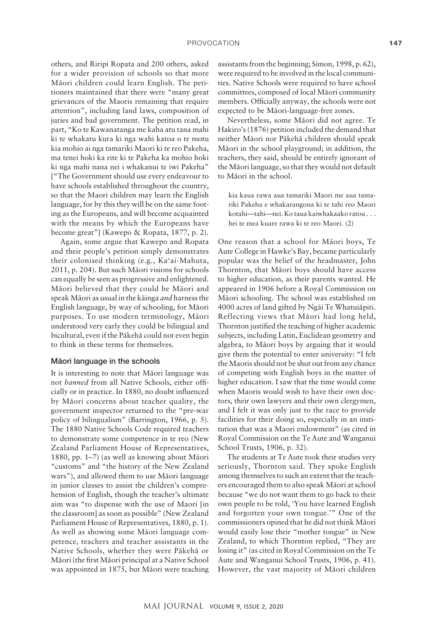others, and Riripi Ropata and 200 others, asked for a wider provision of schools so that more Mäori children could learn English. The petitioners maintained that there were "many great grievances of the Maoris remaining that require attention", including land laws, composition of juries and bad government. The petition read, in part, "Ko te Kawanatanga me kaha atu tana mahi ki te whakatu kura ki nga wahi katoa o te motu kia mohio ai nga tamariki Maori ki te reo Pakeha, ma tenei hoki ka rite ki te Pakeha ka mohio hoki ki nga mahi nana nei i whakanui te iwi Pakeha" ["The Government should use every endeavour to have schools established throughout the country, so that the Maori children may learn the English language, for by this they will be on the same footing as the Europeans, and will become acquainted with the means by which the Europeans have become great"] (Kawepo & Ropata, 1877, p. 2).

Again, some argue that Kawepo and Ropata and their people's petition simply demonstrates their colonised thinking (e.g., Ka'ai-Mahuta, 2011, p. 204). But such Mäori visions for schools can equally be seen as progressive and enlightened. Mäori believed that they could be Mäori and speak Mäori as usual in the käinga *and* harness the English language, by way of schooling, for Mäori purposes. To use modern terminology, Mäori understood very early they could be bilingual and bicultural, even if the Päkehä could not even begin to think in these terms for themselves.

#### Mäori language in the schools

It is interesting to note that Mäori language was not *banned* from all Native Schools, either officially or in practice. In 1880, no doubt influenced by Mäori concerns about teacher quality, the government inspector returned to the "pre-war policy of bilingualism" (Barrington, 1966, p. 5). The 1880 Native Schools Code required teachers to demonstrate some competence in te reo (New Zealand Parliament House of Representatives, 1880, pp. 1–7) (as well as knowing about Mäori "customs" and "the history of the New Zealand wars"), and allowed them to use Mäori language in junior classes to assist the children's comprehension of English, though the teacher's ultimate aim was "to dispense with the use of Maori [in the classroom] as soon as possible" (New Zealand Parliament House of Representatives, 1880, p. 1). As well as showing some Mäori language competence, teachers and teacher assistants in the Native Schools, whether they were Päkehä or Mäori (the first Mäori principal at a Native School was appointed in 1875, but Mäori were teaching assistants from the beginning; Simon, 1998, p. 62), were required to be involved in the local communities. Native Schools were required to have school committees, composed of local Mäori community members. Officially anyway, the schools were not expected to be Mäori-language-free zones.

Nevertheless, some Mäori did not agree. Te Hakiro's (1876) petition included the demand that neither Mäori nor Päkehä children should speak Mäori in the school playground; in addition, the teachers, they said, should be entirely ignorant of the Mäori language, so that they would not default to Mäori in the school.

kia kaua rawa aua tamariki Maori me aua tamariki Pakeha e whakarangona ki te tahi reo Maori kotahi—tahi—nei. Ko taua kaiwhakaako ratou . . . hei te mea kuare rawa ki te reo Maori. (2)

One reason that a school for Mäori boys, Te Aute College in Hawke's Bay, became particularly popular was the belief of the headmaster, John Thornton, that Mäori boys should have access to higher education, as their parents wanted. He appeared in 1906 before a Royal Commission on Mäori schooling. The school was established on 4000 acres of land gifted by Ngäi Te Whatuiäpiti. Reflecting views that Mäori had long held, Thornton justified the teaching of higher academic subjects, including Latin, Euclidean geometry and algebra, to Mäori boys by arguing that it would give them the potential to enter university: "I felt the Maoris should not be shut out from any chance of competing with English boys in the matter of higher education. I saw that the time would come when Maoris would wish to have their own doctors, their own lawyers and their own clergymen, and I felt it was only just to the race to provide facilities for their doing so, especially in an institution that was a Maori endowment" (as cited in Royal Commission on the Te Aute and Wanganui School Trusts, 1906, p. 32).

The students at Te Aute took their studies very seriously, Thornton said. They spoke English among themselves to such an extent that the teachers encouraged them to also speak Mäori at school because "we do not want them to go back to their own people to be told, 'You have learned English and forgotten your own tongue.'" One of the commissioners opined that he did not think Mäori would easily lose their "mother tongue" in New Zealand, to which Thornton replied, "They are losing it" (as cited in Royal Commission on the Te Aute and Wanganui School Trusts, 1906, p. 41). However, the vast majority of Mäori children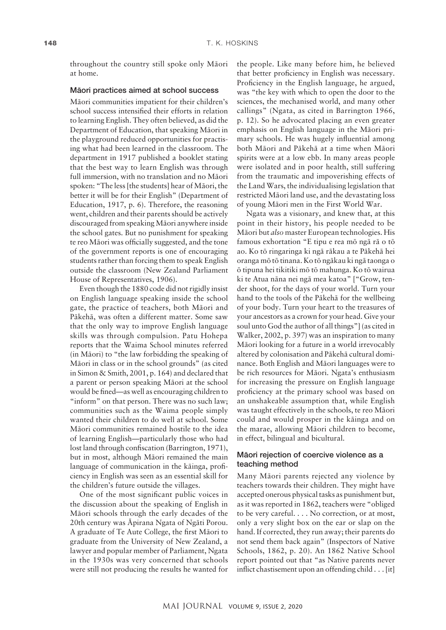throughout the country still spoke only Mäori at home.

#### Mäori practices aimed at school success

Mäori communities impatient for their children's school success intensified their efforts in relation to learning English. They often believed, as did the Department of Education, that speaking Mäori in the playground reduced opportunities for practising what had been learned in the classroom. The department in 1917 published a booklet stating that the best way to learn English was through full immersion, with no translation and no Mäori spoken: "The less [the students] hear of Mäori, the better it will be for their English" (Department of Education, 1917, p. 6). Therefore, the reasoning went, children and their parents should be actively discouraged from speaking Mäori anywhere inside the school gates. But no punishment for speaking te reo Mäori was officially suggested, and the tone of the government reports is one of encouraging students rather than forcing them to speak English outside the classroom (New Zealand Parliament House of Representatives, 1906).

Even though the 1880 code did not rigidly insist on English language speaking inside the school gate, the practice of teachers, both Mäori and Päkehä, was often a different matter. Some saw that the only way to improve English language skills was through compulsion. Patu Hohepa reports that the Waima School minutes referred (in Mäori) to "the law forbidding the speaking of Mäori in class or in the school grounds" (as cited in Simon & Smith, 2001, p. 164) and declared that a parent or person speaking Mäori at the school would be fined—as well as encouraging children to "inform" on that person. There was no such law; communities such as the Waima people simply wanted their children to do well at school. Some Mäori communities remained hostile to the idea of learning English—particularly those who had lost land through confiscation (Barrington, 1971), but in most, although Mäori remained the main language of communication in the käinga, proficiency in English was seen as an essential skill for the children's future outside the villages.

One of the most significant public voices in the discussion about the speaking of English in Mäori schools through the early decades of the 20th century was Äpirana Ngata of Ngäti Porou. A graduate of Te Aute College, the first Mäori to graduate from the University of New Zealand, a lawyer and popular member of Parliament, Ngata in the 1930s was very concerned that schools were still not producing the results he wanted for

the people. Like many before him, he believed that better proficiency in English was necessary. Proficiency in the English language, he argued, was "the key with which to open the door to the sciences, the mechanised world, and many other callings" (Ngata, as cited in Barrington 1966, p. 12). So he advocated placing an even greater emphasis on English language in the Mäori primary schools. He was hugely influential among both Mäori and Päkehä at a time when Mäori spirits were at a low ebb. In many areas people were isolated and in poor health, still suffering from the traumatic and impoverishing effects of the Land Wars, the individualising legislation that restricted Mäori land use, and the devastating loss of young Mäori men in the First World War.

Ngata was a visionary, and knew that, at this point in their history, his people needed to be Mäori but *also* master European technologies. His famous exhortation "E tipu e rea mö ngä rä o tö ao. Ko tö ringaringa ki ngä räkau a te Päkehä hei oranga mö tö tinana. Ko tö ngäkau ki ngä taonga o ö tipuna hei tikitiki mö tö mahunga. Ko tö wairua ki te Atua näna nei ngä mea katoa" ["Grow, tender shoot, for the days of your world. Turn your hand to the tools of the Päkehä for the wellbeing of your body. Turn your heart to the treasures of your ancestors as a crown for your head. Give your soul unto God the author of all things"] (as cited in Walker, 2002, p. 397) was an inspiration to many Mäori looking for a future in a world irrevocably altered by colonisation and Päkehä cultural dominance. Both English and Mäori languages were to be rich resources for Mäori. Ngata's enthusiasm for increasing the pressure on English language proficiency at the primary school was based on an unshakeable assumption that, while English was taught effectively in the schools, te reo Mäori could and would prosper in the käinga and on the marae, allowing Mäori children to become, in effect, bilingual and bicultural.

# Mäori rejection of coercive violence as a teaching method

Many Mäori parents rejected any violence by teachers towards their children. They might have accepted onerous physical tasks as punishment but, as it was reported in 1862, teachers were "obliged to be very careful. . . . No correction, or at most, only a very slight box on the ear or slap on the hand. If corrected, they run away; their parents do not send them back again" (Inspectors of Native Schools, 1862, p. 20). An 1862 Native School report pointed out that "as Native parents never inflict chastisement upon an offending child . . . [it]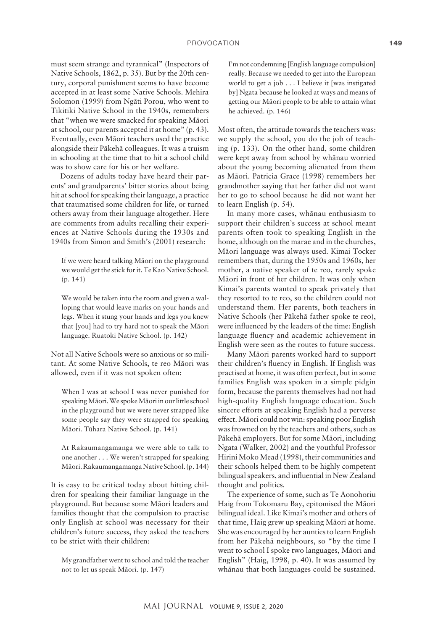must seem strange and tyrannical" (Inspectors of Native Schools, 1862, p. 35). But by the 20th century, corporal punishment seems to have become accepted in at least some Native Schools. Mehira Solomon (1999) from Ngäti Porou, who went to Tikitiki Native School in the 1940s, remembers that "when we were smacked for speaking Mäori at school, our parents accepted it at home" (p. 43). Eventually, even Mäori teachers used the practice alongside their Päkehä colleagues. It was a truism in schooling at the time that to hit a school child was to show care for his or her welfare.

Dozens of adults today have heard their parents' and grandparents' bitter stories about being hit at school for speaking their language, a practice that traumatised some children for life, or turned others away from their language altogether. Here are comments from adults recalling their experiences at Native Schools during the 1930s and 1940s from Simon and Smith's (2001) research:

If we were heard talking Mäori on the playground we would get the stick for it. Te Kao Native School. (p. 141)

We would be taken into the room and given a walloping that would leave marks on your hands and legs. When it stung your hands and legs you knew that [you] had to try hard not to speak the Mäori language. Ruatoki Native School. (p. 142)

Not all Native Schools were so anxious or so militant. At some Native Schools, te reo Mäori was allowed, even if it was not spoken often:

When I was at school I was never punished for speaking Mäori. We spoke Mäori in our little school in the playground but we were never strapped like some people say they were strapped for speaking Mäori. Tühara Native School. (p. 141)

At Rakaumangamanga we were able to talk to one another . . . We weren't strapped for speaking Mäori. Rakaumangamanga Native School. (p.144)

It is easy to be critical today about hitting children for speaking their familiar language in the playground. But because some Mäori leaders and families thought that the compulsion to practise only English at school was necessary for their children's future success, they asked the teachers to be strict with their children:

My grandfather went to school and told the teacher not to let us speak Mäori. (p. 147)

I'm not condemning [English language compulsion] really. Because we needed to get into the European world to get a job . . . I believe it [was instigated by] Ngata because he looked at ways and means of getting our Mäori people to be able to attain what he achieved. (p. 146)

Most often, the attitude towards the teachers was: we supply the school, you do the job of teaching (p. 133). On the other hand, some children were kept away from school by whänau worried about the young becoming alienated from them as Mäori. Patricia Grace (1998) remembers her grandmother saying that her father did not want her to go to school because he did not want her to learn English (p. 54).

In many more cases, whänau enthusiasm to support their children's success at school meant parents often took to speaking English in the home, although on the marae and in the churches, Mäori language was always used. Kimai Tocker remembers that, during the 1950s and 1960s, her mother, a native speaker of te reo, rarely spoke Mäori in front of her children. It was only when Kimai's parents wanted to speak privately that they resorted to te reo, so the children could not understand them. Her parents, both teachers in Native Schools (her Päkehä father spoke te reo), were influenced by the leaders of the time: English language fluency and academic achievement in English were seen as the routes to future success.

Many Mäori parents worked hard to support their children's fluency in English. If English was practised at home, it was often perfect, but in some families English was spoken in a simple pidgin form, because the parents themselves had not had high-quality English language education. Such sincere efforts at speaking English had a perverse effect. Mäori could not win: speaking poor English was frowned on by the teachers and others, such as Päkehä employers. But for some Mäori, including Ngata (Walker, 2002) and the youthful Professor Hirini Moko Mead (1998), their communities and their schools helped them to be highly competent bilingual speakers, and influential in New Zealand thought and politics.

The experience of some, such as Te Aonohoriu Haig from Tokomaru Bay, epitomised the Mäori bilingual ideal. Like Kimai's mother and others of that time, Haig grew up speaking Mäori at home. She was encouraged by her aunties to learn English from her Päkehä neighbours, so "by the time I went to school I spoke two languages, Mäori and English" (Haig, 1998, p. 40). It was assumed by whänau that both languages could be sustained.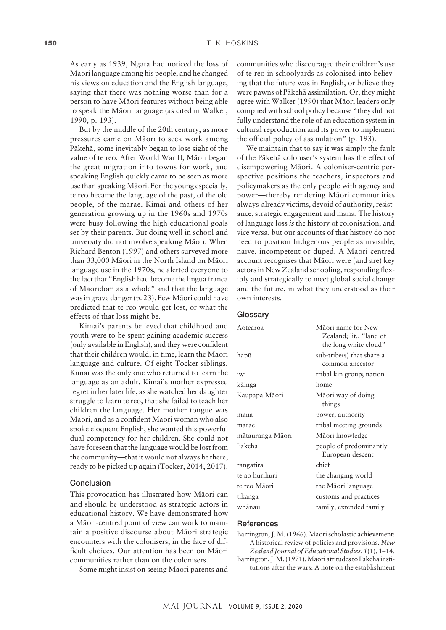As early as 1939, Ngata had noticed the loss of Mäori language among his people, and he changed his views on education and the English language, saying that there was nothing worse than for a person to have Mäori features without being able to speak the Mäori language (as cited in Walker, 1990, p. 193).

But by the middle of the 20th century, as more pressures came on Mäori to seek work among Päkehä, some inevitably began to lose sight of the value of te reo. After World War II, Mäori began the great migration into towns for work, and speaking English quickly came to be seen as more use than speaking Mäori. For the young especially, te reo became the language of the past, of the old people, of the marae. Kimai and others of her generation growing up in the 1960s and 1970s were busy following the high educational goals set by their parents. But doing well in school and university did not involve speaking Mäori. When Richard Benton (1997) and others surveyed more than 33,000 Mäori in the North Island on Mäori language use in the 1970s, he alerted everyone to the fact that "English had become the lingua franca of Maoridom as a whole" and that the language was in grave danger (p. 23). Few Mäori could have predicted that te reo would get lost, or what the effects of that loss might be.

Kimai's parents believed that childhood and youth were to be spent gaining academic success (only available in English), and they were confident that their children would, in time, learn the Mäori language and culture. Of eight Tocker siblings, Kimai was the only one who returned to learn the language as an adult. Kimai's mother expressed regret in her later life, as she watched her daughter struggle to learn te reo, that she failed to teach her children the language. Her mother tongue was Mäori, and as a confident Mäori woman who also spoke eloquent English, she wanted this powerful dual competency for her children. She could not have foreseen that the language would be lost from the community—that it would not always be there, ready to be picked up again (Tocker, 2014, 2017).

#### Conclusion

This provocation has illustrated how Mäori can and should be understood as strategic actors in educational history. We have demonstrated how a Mäori-centred point of view can work to maintain a positive discourse about Mäori strategic encounters with the colonisers, in the face of difficult choices. Our attention has been on Mäori communities rather than on the colonisers.

Some might insist on seeing Mäori parents and

communities who discouraged their children's use of te reo in schoolyards as colonised into believing that the future was in English, or believe they were pawns of Päkehä assimilation. Or, they might agree with Walker (1990) that Mäori leaders only complied with school policy because "they did not fully understand the role of an education system in cultural reproduction and its power to implement the official policy of assimilation" (p. 193).

We maintain that to say it was simply the fault of the Päkehä coloniser's system has the effect of disempowering Mäori. A coloniser-centric perspective positions the teachers, inspectors and policymakers as the only people with agency and power—thereby rendering Mäori communities always-already victims, devoid of authority, resistance, strategic engagement and mana. The history of language loss *is* the history of colonisation, and vice versa, but our accounts of that history do not need to position Indigenous people as invisible, naïve, incompetent or duped. A Mäori-centred account recognises that Mäori were (and are) key actors in New Zealand schooling, responding flexibly and strategically to meet global social change and the future, in what they understood as their own interests.

#### **Glossary**

| Aotearoa         | Māori name for New<br>Zealand; lit., "land of<br>the long white cloud" |
|------------------|------------------------------------------------------------------------|
| hapū             | sub-tribe(s) that share a                                              |
|                  | common ancestor                                                        |
| iwi              | tribal kin group; nation                                               |
| kāinga           | home                                                                   |
| Kaupapa Māori    | Māori way of doing<br>things                                           |
| mana             | power, authority                                                       |
| marae            | tribal meeting grounds                                                 |
| mātauranga Māori | Māori knowledge                                                        |
| Pākehā           | people of predominantly<br>European descent                            |
| rangatira        | chief                                                                  |
| te ao hurihuri   | the changing world                                                     |
| te reo Māori     | the Māori language                                                     |
| tikanga          | customs and practices                                                  |
| whānau           | family, extended family                                                |

## **References**

Barrington, J. M. (1966). Maori scholastic achievement: A historical review of policies and provisions. *New Zealand Journal of Educational Studies*, *1*(1), 1–14. Barrington, J. M. (1971). Maori attitudes to Pakeha institutions after the wars: A note on the establishment